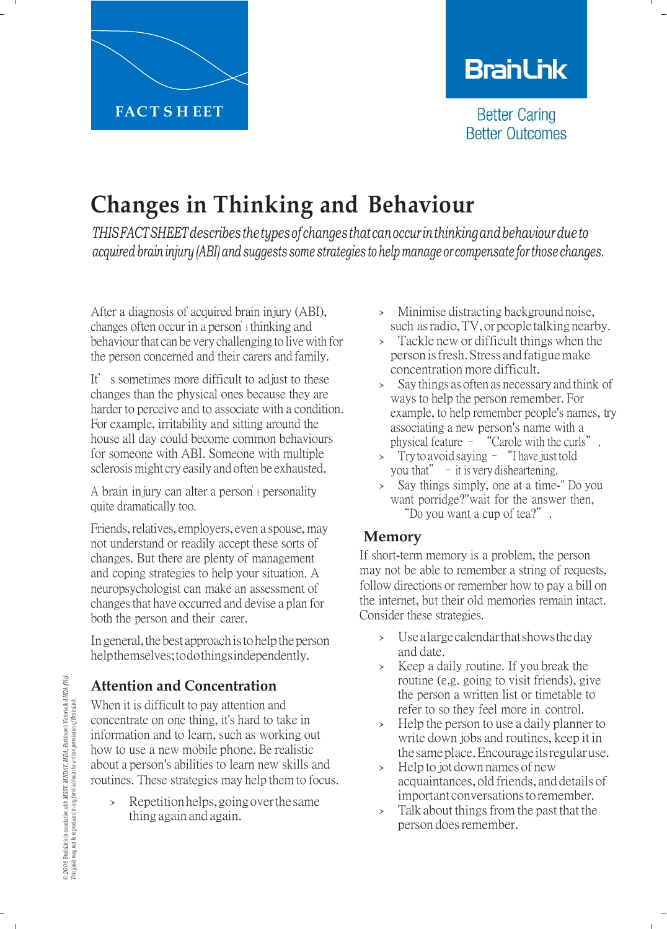

# **BranLink**

**Better Caring Better Outcomes** 

# **Changes in Thinking and Behaviour**

*THISFACTSHEETdescribes thetypesof changesthat canoccur inthinkingandbehaviourdueto acquired brain injury (ABI) and suggests some strategies to help manage or compensate for those changes.*

After a diagnosis of acquired brain injury (ABI), changes often occur in a person'<sup>s</sup> thinking and behaviour that can be very challenging to live with for the person concerned and their carers and family.

It's sometimes more difficult to adjust to these changes than the physical ones because they are harder to perceive and to associate with a condition. For example, irritability and sitting around the house all day could become common behaviours for someone with ABI. Someone with multiple sclerosis might cry easily and often be exhausted.

A brain injury can alter a person'<sup>s</sup> personality quite dramatically too.

Friends, relatives, employers, even a spouse, may not understand or readily accept these sorts of changes. But there are plenty of management and coping strategies to help your situation. A neuropsychologist can make an assessment of changes that have occurred and devise a plan for both the person and their carer.

In general, the best approach is to help the person help themselves; todothings independently.

# **Attention and Concentration**

When it is difficult to pay attention and concentrate on one thing, it's hard to take in information and to learn, such as working out how to use a new mobile phone. Be realistic about a person's abilities to learn new skills and routines. These strategies may help them to focus.

> Repetition helps, going over the same thing again and again.

- › Minimise distracting background noise, such as radio, TV, or people talking nearby.
- › Tackle new or difficult things when the person isfresh. Stress and fatigue make concentration more difficult.
- › Say things as often as necessary and think of ways to help the person remember. For example, to help remember people's names, try associating a new person's name with a physical feature – "Carole with the curls".
- > Try to avoid saying "I have just told you that" $-$  it is very disheartening.
- › Say things simply, one at a time-" Do you want porridge?"wait for the answer then, "Do you want a cup of tea?".

# **Memory**

If short-term memory is a problem, the person may not be able to remember a string of requests, follow directions or remember how to pay a bill on the internet, but their old memories remain intact. Consider these strategies.

- › Usealargecalendarthatshowstheday and date.
- › Keep a daily routine. If you break the routine (e.g. going to visit friends), give the person a written list or timetable to refer to so they feel more in control.
- › Help the person to use <sup>a</sup> daily planner to write down jobs and routines, keep it in the sameplace.Encourage itsregularuse.
- › Help to jot down names of new acquaintances, old friends, and details of important conversations to remember.
- > Talk about things from the past that the person does remember.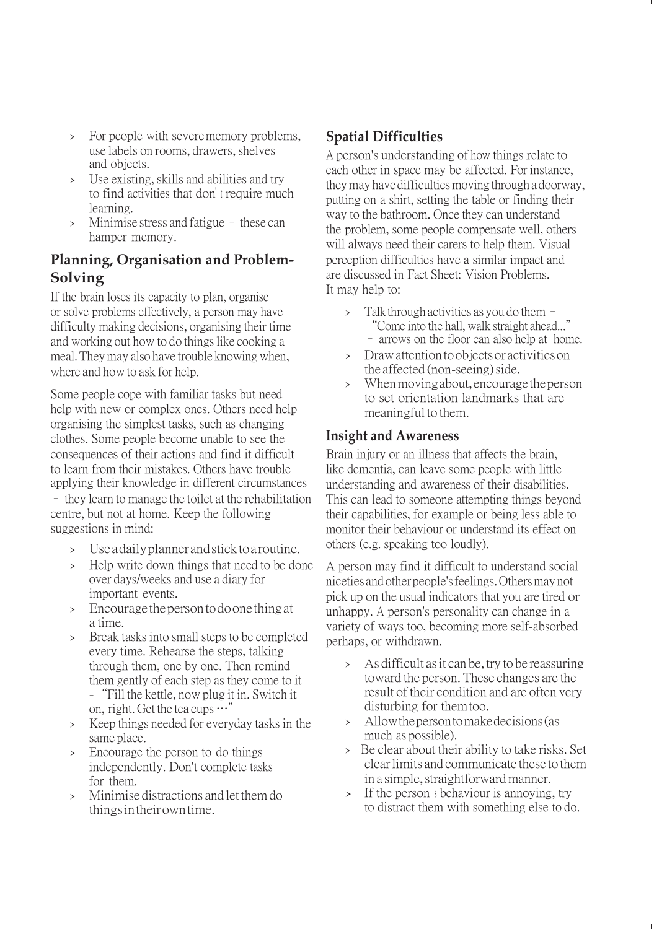- › For people with severememory problems, use labels on rooms, drawers, shelves and objects.
- › Use existing, skills and abilities and try to find activities that don't require much learning.
- $\frac{\pi}{2}$  Minimise stress and fatigue these can hamper memory.

## **Planning, Organisation and Problem-Solving**

If the brain loses its capacity to plan, organise or solve problems effectively, a person may have difficulty making decisions, organising their time and working out how to do things like cooking a meal. They may also have trouble knowing when, where and how to ask for help.

Some people cope with familiar tasks but need help with new or complex ones. Others need help organising the simplest tasks, such as changing clothes. Some people become unable to see the consequences of their actions and find it difficult to learn from their mistakes. Others have trouble applying their knowledge in different circumstances – they learn to manage the toilet at the rehabilitation centre, but not at home. Keep the following suggestions in mind:

- › Use a daily planner andstick toa routine.
- › Help write down things that need to be done over days/weeks and use a diary for important events.
- › Encourage the person todoonething at a time.
- › Break tasks into small steps to be completed every time. Rehearse the steps, talking through them, one by one. Then remind them gently of each step as they come to it
	- -"Fill the kettle, now plug it in. Switch it on, right. Get the tea cups …"
- › Keep things needed for everyday tasks in the same place.
- Encourage the person to do things independently. Don't complete tasks for them.
- › Minimise distractions and let them do things intheir own time.

## **Spatial Difficulties**

A person's understanding of how things relate to each other in space may be affected. For instance, they may have difficulties moving through a doorway, putting on a shirt, setting the table or finding their way to the bathroom. Once they can understand the problem, some people compensate well, others will always need their carers to help them. Visual perception difficulties have a similar impact and are discussed in Fact Sheet: Vision Problems. It may help to:

- Talkthrough activities as you do them $-$ "Come into the hall, walk straight ahead..." – arrows on the floor can also help at home.
- › Drawattentiontoobjectsor activitieson the affected (non-seeing) side.
- When moving about, encourage the person to set orientation landmarks that are meaningful to them.

#### **Insight and Awareness**

Brain injury or an illness that affects the brain, like dementia, can leave some people with little understanding and awareness of their disabilities. This can lead to someone attempting things beyond their capabilities, for example or being less able to monitor their behaviour or understand its effect on others (e.g. speaking too loudly).

A person may find it difficult to understand social niceties and other people'sfeelings. Others may not pick up on the usual indicators that you are tired or unhappy. A person's personality can change in a variety of ways too, becoming more self-absorbed perhaps, or withdrawn.

- › As difficult asit can be, try to be reassuring toward the person. These changes are the result of their condition and are often very disturbing for themtoo.
- › Allowthepersontomakedecisions(as much as possible).
- › Be clear about their ability to take risks. Set clearlimits and communicate these to them in a simple, straightforward manner.
- › If the person's behaviour is annoying, try to distract them with something else to do.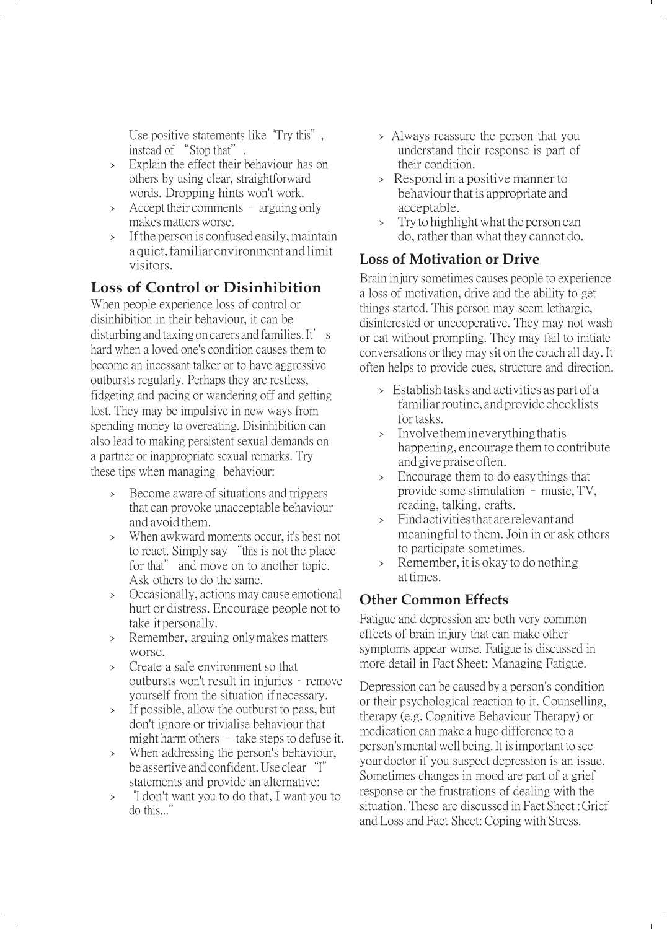Use positive statements like "Try this", instead of "Stop that".

- › Explain the effect their behaviour has on others by using clear, straightforward words. Dropping hints won't work.
- › Accept their comments arguing only makes matters worse.
- › Ifthe person is confused easily, maintain a quiet, familiar environment andlimit visitors.

# **Loss of Control or Disinhibition**

When people experience loss of control or disinhibition in their behaviour, it can be disturbing and taxing on carers and families. It's hard when a loved one's condition causes them to become an incessant talker or to have aggressive outbursts regularly. Perhaps they are restless, fidgeting and pacing or wandering off and getting lost. They may be impulsive in new ways from spending money to overeating. Disinhibition can also lead to making persistent sexual demands on a partner or inappropriate sexual remarks. Try these tips when managing behaviour:

- › Become aware of situations and triggers that can provoke unacceptable behaviour and avoid them.
- › When awkward moments occur, it's best not to react. Simply say "this is not the place for that" and move on to another topic. Ask others to do the same.
- › Occasionally, actions may cause emotional hurt or distress. Encourage people not to take it personally.
- › Remember, arguing only makes matters worse.
- › Create a safe environment so that outbursts won't result in injuries – remove yourself from the situation if necessary.
- › If possible, allow the outburst to pass, but don't ignore or trivialise behaviour that might harm others – take steps to defuse it.
- › When addressing the person's behaviour, be assertive and confident. Use clear "I" statements and provide an alternative:
- › "I don't want you to do that, <sup>I</sup> want you to do this..."
- › Always reassure the person that you understand their response is part of their condition.
- › Respond in <sup>a</sup> positive manner to behaviour that is appropriate and acceptable.
- › Tryto highlightwhat the person can do, rather than what they cannot do.

## **Loss of Motivation or Drive**

Brain injury sometimes causes people to experience a loss of motivation, drive and the ability to get things started. This person may seem lethargic, disinterested or uncooperative. They may not wash or eat without prompting. They may fail to initiate conversations or they may sit on the couch all day. It often helps to provide cues, structure and direction.

- › Establish tasks and activities as part of <sup>a</sup> familiarroutine, andprovidechecklists for tasks.
- › Involvethemineverythingthatis happening, encourage them to contribute andgivepraiseoften.
- › Encourage them to do easythings that provide some stimulation – music, TV, reading, talking, crafts.
- › Findactivitiesthatarerelevantand meaningful to them.Join in or ask others to participate sometimes.
- › Remember, it is okay to do nothing attimes.

## **Other Common Effects**

Fatigue and depression are both very common effects of brain injury that can make other symptoms appear worse. Fatigue is discussed in more detail in Fact Sheet: Managing Fatigue.

Depression can be caused by a person's condition or their psychological reaction to it. Counselling, therapy (e.g. Cognitive Behaviour Therapy) or medication can make a huge difference to a person'smental well being. It isimportant to see your doctor if you suspect depression is an issue. Sometimes changes in mood are part of a grief response or the frustrations of dealing with the situation. These are discussed in Fact Sheet : Grief and Loss and Fact Sheet: Coping with Stress.